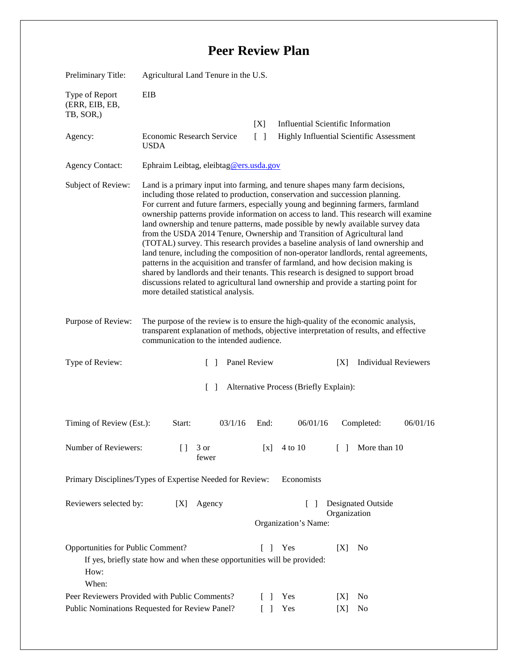## **Peer Review Plan**

| Preliminary Title:                                                                              | Agricultural Land Tenure in the U.S.                                                                                                                                                                                                                                                                                                                                                                                                                                                                                                                                                                                                                                                                                                                                                                                                                                                                                                                                                        |                                                                     |                                                                                       |
|-------------------------------------------------------------------------------------------------|---------------------------------------------------------------------------------------------------------------------------------------------------------------------------------------------------------------------------------------------------------------------------------------------------------------------------------------------------------------------------------------------------------------------------------------------------------------------------------------------------------------------------------------------------------------------------------------------------------------------------------------------------------------------------------------------------------------------------------------------------------------------------------------------------------------------------------------------------------------------------------------------------------------------------------------------------------------------------------------------|---------------------------------------------------------------------|---------------------------------------------------------------------------------------|
| Type of Report<br>(ERR, EIB, EB,<br>TB, SOR,)                                                   | EIB                                                                                                                                                                                                                                                                                                                                                                                                                                                                                                                                                                                                                                                                                                                                                                                                                                                                                                                                                                                         |                                                                     |                                                                                       |
| Agency:                                                                                         | <b>Economic Research Service</b><br><b>USDA</b>                                                                                                                                                                                                                                                                                                                                                                                                                                                                                                                                                                                                                                                                                                                                                                                                                                                                                                                                             | [X]<br>$\lceil \rceil$                                              | <b>Influential Scientific Information</b><br>Highly Influential Scientific Assessment |
| <b>Agency Contact:</b>                                                                          | Ephraim Leibtag, eleibtag@ers.usda.gov                                                                                                                                                                                                                                                                                                                                                                                                                                                                                                                                                                                                                                                                                                                                                                                                                                                                                                                                                      |                                                                     |                                                                                       |
| Subject of Review:                                                                              | Land is a primary input into farming, and tenure shapes many farm decisions,<br>including those related to production, conservation and succession planning.<br>For current and future farmers, especially young and beginning farmers, farmland<br>ownership patterns provide information on access to land. This research will examine<br>land ownership and tenure patterns, made possible by newly available survey data<br>from the USDA 2014 Tenure, Ownership and Transition of Agricultural land<br>(TOTAL) survey. This research provides a baseline analysis of land ownership and<br>land tenure, including the composition of non-operator landlords, rental agreements,<br>patterns in the acquisition and transfer of farmland, and how decision making is<br>shared by landlords and their tenants. This research is designed to support broad<br>discussions related to agricultural land ownership and provide a starting point for<br>more detailed statistical analysis. |                                                                     |                                                                                       |
| Purpose of Review:                                                                              | The purpose of the review is to ensure the high-quality of the economic analysis,<br>transparent explanation of methods, objective interpretation of results, and effective<br>communication to the intended audience.                                                                                                                                                                                                                                                                                                                                                                                                                                                                                                                                                                                                                                                                                                                                                                      |                                                                     |                                                                                       |
| Type of Review:                                                                                 | $\Box$                                                                                                                                                                                                                                                                                                                                                                                                                                                                                                                                                                                                                                                                                                                                                                                                                                                                                                                                                                                      | Panel Review                                                        | <b>Individual Reviewers</b><br>[X]                                                    |
| Alternative Process (Briefly Explain):<br>$\Box$                                                |                                                                                                                                                                                                                                                                                                                                                                                                                                                                                                                                                                                                                                                                                                                                                                                                                                                                                                                                                                                             |                                                                     |                                                                                       |
| Timing of Review (Est.):                                                                        | 03/1/16<br>Start:                                                                                                                                                                                                                                                                                                                                                                                                                                                                                                                                                                                                                                                                                                                                                                                                                                                                                                                                                                           | 06/01/16<br>End:                                                    | 06/01/16<br>Completed:                                                                |
| Number of Reviewers:                                                                            | 3 or<br>U<br>fewer                                                                                                                                                                                                                                                                                                                                                                                                                                                                                                                                                                                                                                                                                                                                                                                                                                                                                                                                                                          | 4 to 10<br>$\left[ \text{X} \right]$                                | $\begin{bmatrix} \end{bmatrix}$<br>More than 10                                       |
| Economists<br>Primary Disciplines/Types of Expertise Needed for Review:                         |                                                                                                                                                                                                                                                                                                                                                                                                                                                                                                                                                                                                                                                                                                                                                                                                                                                                                                                                                                                             |                                                                     |                                                                                       |
| Reviewers selected by:                                                                          | [X]<br>Agency                                                                                                                                                                                                                                                                                                                                                                                                                                                                                                                                                                                                                                                                                                                                                                                                                                                                                                                                                                               | Organization's Name:                                                | Designated Outside<br>Organization                                                    |
| Opportunities for Public Comment?<br>How:<br>When:                                              | If yes, briefly state how and when these opportunities will be provided:                                                                                                                                                                                                                                                                                                                                                                                                                                                                                                                                                                                                                                                                                                                                                                                                                                                                                                                    | Yes<br>$\Box$                                                       | N <sub>0</sub><br>[X]                                                                 |
| Peer Reviewers Provided with Public Comments?<br>Public Nominations Requested for Review Panel? |                                                                                                                                                                                                                                                                                                                                                                                                                                                                                                                                                                                                                                                                                                                                                                                                                                                                                                                                                                                             | Yes<br>$\mathbf{I}$<br>Yes<br>$\begin{bmatrix} \\ \\ \end{bmatrix}$ | [X]<br>No<br>No<br>[X]                                                                |